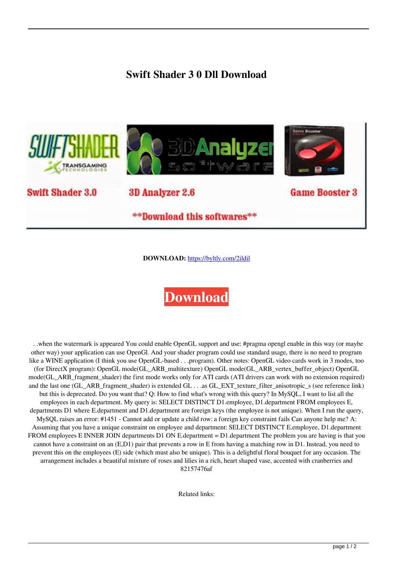## **Swift Shader 3 0 Dll Download**



**DOWNLOAD:** <https://byltly.com/2ildil>

## **[Download](https://byltly.com/2ildil)**

 . .when the watermark is appeared You could enable OpenGL support and use: #pragma opengl enable in this way (or maybe other way) your application can use OpenGl. And your shader program could use standard usage, there is no need to program like a WINE application (I think you use OpenGL-based . . .program). Other notes: OpenGL video cards work in 3 modes, too (for DirectX program): OpenGL mode(GL\_ARB\_multitexture) OpenGL mode(GL\_ARB\_vertex\_buffer\_object) OpenGL mode(GL\_ARB\_fragment\_shader) the first mode works only for ATI cards (ATI drivers can work with no extension required) and the last one (GL\_ARB\_fragment\_shader) is extended GL  $\ldots$  as GL\_EXT\_texture\_filter\_anisotropic\_s (see reference link) but this is deprecated. Do you want that? Q: How to find what's wrong with this query? In MySQL, I want to list all the employees in each department. My query is: SELECT DISTINCT D1.employee, D1.department FROM employees E, departments D1 where E.department and D1.department are foreign keys (the employee is not unique). When I run the query, MySQL raises an error: #1451 - Cannot add or update a child row: a foreign key constraint fails Can anyone help me? A: Assuming that you have a unique constraint on employee and department: SELECT DISTINCT E.employee, D1.department FROM employees E INNER JOIN departments D1 ON E.department = D1.department The problem you are having is that you cannot have a constraint on an (E,D1) pair that prevents a row in E from having a matching row in D1. Instead, you need to prevent this on the employees (E) side (which must also be unique). This is a delightful floral bouquet for any occasion. The arrangement includes a beautiful mixture of roses and lilies in a rich, heart shaped vase, accented with cranberries and 82157476af

Related links: